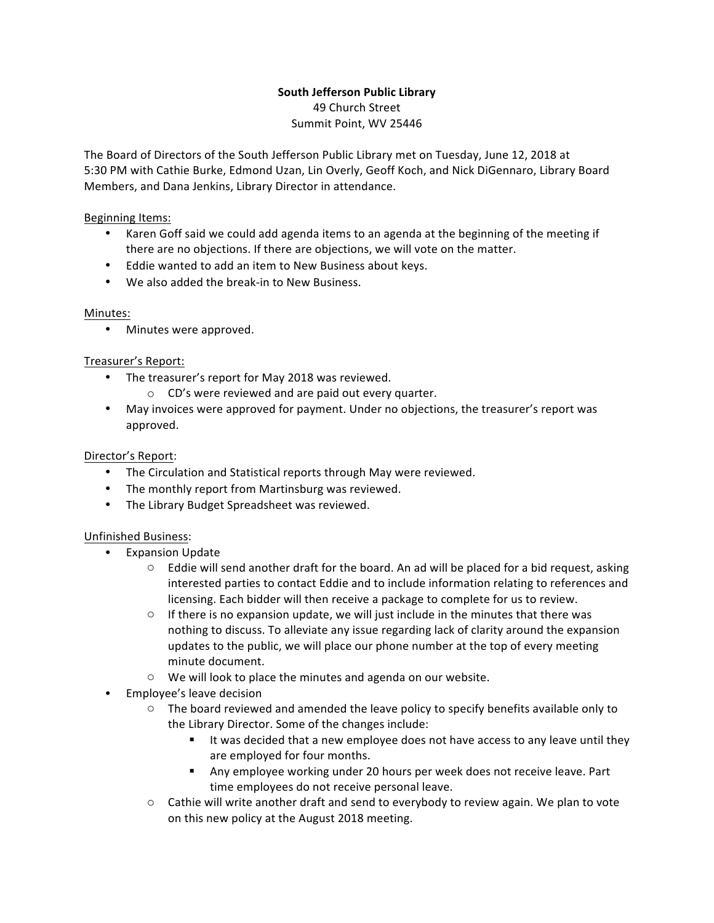### **South Jefferson Public Library** 49 Church Street Summit Point, WV 25446

The Board of Directors of the South Jefferson Public Library met on Tuesday, June 12, 2018 at 5:30 PM with Cathie Burke, Edmond Uzan, Lin Overly, Geoff Koch, and Nick DiGennaro, Library Board Members, and Dana Jenkins, Library Director in attendance.

## Beginning Items:

- Karen Goff said we could add agenda items to an agenda at the beginning of the meeting if there are no objections. If there are objections, we will vote on the matter.
- Eddie wanted to add an item to New Business about keys.
- We also added the break-in to New Business.

# Minutes:

• Minutes were approved.

# Treasurer's Report:

- The treasurer's report for May 2018 was reviewed.
	- $\circ$  CD's were reviewed and are paid out every quarter.
- May invoices were approved for payment. Under no objections, the treasurer's report was approved.

## Director's Report:

- The Circulation and Statistical reports through May were reviewed.
- The monthly report from Martinsburg was reviewed.
- The Library Budget Spreadsheet was reviewed.

### Unfinished Business:

- Expansion Update
	- $\circ$  Eddie will send another draft for the board. An ad will be placed for a bid request, asking interested parties to contact Eddie and to include information relating to references and licensing. Each bidder will then receive a package to complete for us to review.
	- $\circ$  If there is no expansion update, we will just include in the minutes that there was nothing to discuss. To alleviate any issue regarding lack of clarity around the expansion updates to the public, we will place our phone number at the top of every meeting minute document.
	- $\circ$  We will look to place the minutes and agenda on our website.
- Employee's leave decision
	- $\circ$  The board reviewed and amended the leave policy to specify benefits available only to the Library Director. Some of the changes include:
		- It was decided that a new employee does not have access to any leave until they are employed for four months.
		- Any employee working under 20 hours per week does not receive leave. Part time employees do not receive personal leave.
	- $\circ$  Cathie will write another draft and send to everybody to review again. We plan to vote on this new policy at the August 2018 meeting.